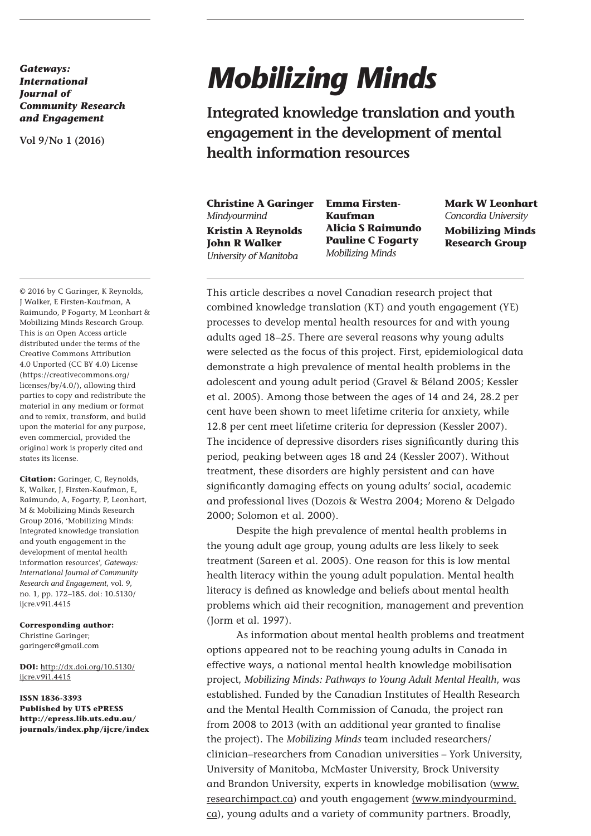*Gateways: International Journal of Community Research and Engagement* 

**Vol 9/No 1 (2016)**

© 2016 by C Garinger, K Reynolds, J Walker, E Firsten-Kaufman, A Raimundo, P Fogarty, M Leonhart & Mobilizing Minds Research Group. This is an Open Access article distributed under the terms of the Creative Commons Attribution 4.0 Unported (CC BY 4.0) License (https://creativecommons.org/ licenses/by/4.0/), allowing third parties to copy and redistribute the material in any medium or format and to remix, transform, and build upon the material for any purpose, even commercial, provided the original work is properly cited and states its license.

**Citation:** Garinger, C, Reynolds, K, Walker, J, Firsten-Kaufman, E, Raimundo, A, Fogarty, P, Leonhart, M & Mobilizing Minds Research Group 2016, 'Mobilizing Minds: Integrated knowledge translation and youth engagement in the development of mental health information resources', *Gateways: International Journal of Community Research and Engagement*, vol. 9, no. 1, pp. 172–185. doi: 10.5130/ iicre.v9i1.4415

## **Corresponding author:**

Christine Garinger; garingerc@gmail.com

**DOI:** http://dx.doi.org/10.5130/ ijcre.v9i1.4415

**ISSN 1836-3393 Published by UTS ePRESS http://epress.lib.uts.edu.au/ journals/index.php/ijcre/index**

# *Mobilizing Minds*

**Integrated knowledge translation and youth engagement in the development of mental health information resources**

**Christine A Garinger** *Mindyourmind* **Kristin A Reynolds John R Walker** *University of Manitoba*

**Emma Firsten-Kaufman Alicia S Raimundo Pauline C Fogarty** *Mobilizing Minds*

**Mark W Leonhart** *Concordia University* **Mobilizing Minds Research Group**

This article describes a novel Canadian research project that combined knowledge translation (KT) and youth engagement (YE) processes to develop mental health resources for and with young adults aged 18–25. There are several reasons why young adults were selected as the focus of this project. First, epidemiological data demonstrate a high prevalence of mental health problems in the adolescent and young adult period (Gravel & Béland 2005; Kessler et al. 2005). Among those between the ages of 14 and 24, 28.2 per cent have been shown to meet lifetime criteria for anxiety, while 12.8 per cent meet lifetime criteria for depression (Kessler 2007). The incidence of depressive disorders rises significantly during this period, peaking between ages 18 and 24 (Kessler 2007). Without treatment, these disorders are highly persistent and can have significantly damaging effects on young adults' social, academic and professional lives (Dozois & Westra 2004; Moreno & Delgado 2000; Solomon et al. 2000).

Despite the high prevalence of mental health problems in the young adult age group, young adults are less likely to seek treatment (Sareen et al. 2005). One reason for this is low mental health literacy within the young adult population. Mental health literacy is defined as knowledge and beliefs about mental health problems which aid their recognition, management and prevention (Jorm et al. 1997).

As information about mental health problems and treatment options appeared not to be reaching young adults in Canada in effective ways, a national mental health knowledge mobilisation project, *Mobilizing Minds: Pathways to Young Adult Mental Health*, was established. Funded by the Canadian Institutes of Health Research and the Mental Health Commission of Canada, the project ran from 2008 to 2013 (with an additional year granted to finalise the project). The *Mobilizing Minds* team included researchers/ clinician–researchers from Canadian universities – York University, University of Manitoba, McMaster University, Brock University and Brandon University, experts in knowledge mobilisation (www. researchimpact.ca) and youth engagement (www.mindyourmind. ca), young adults and a variety of community partners. Broadly,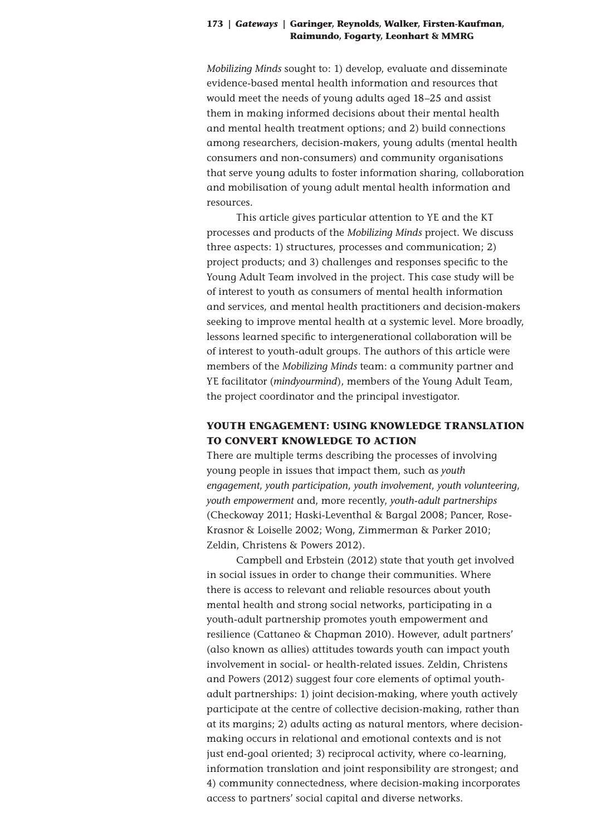*Mobilizing Minds* sought to: 1) develop, evaluate and disseminate evidence-based mental health information and resources that would meet the needs of young adults aged 18–25 and assist them in making informed decisions about their mental health and mental health treatment options; and 2) build connections among researchers, decision-makers, young adults (mental health consumers and non-consumers) and community organisations that serve young adults to foster information sharing, collaboration and mobilisation of young adult mental health information and resources.

This article gives particular attention to YE and the KT processes and products of the *Mobilizing Minds* project. We discuss three aspects: 1) structures, processes and communication; 2) project products; and 3) challenges and responses specific to the Young Adult Team involved in the project. This case study will be of interest to youth as consumers of mental health information and services, and mental health practitioners and decision-makers seeking to improve mental health at a systemic level. More broadly, lessons learned specific to intergenerational collaboration will be of interest to youth-adult groups. The authors of this article were members of the *Mobilizing Minds* team: a community partner and YE facilitator (*mindyourmind*), members of the Young Adult Team, the project coordinator and the principal investigator.

# **YOUTH ENGAGEMENT: USING KNOWLEDGE TRANSLATION TO CONVERT KNOWLEDGE TO ACTION**

There are multiple terms describing the processes of involving young people in issues that impact them, such as *youth engagement*, *youth participation*, *youth involvement*, *youth volunteering*, *youth empowerment* and, more recently, *youth-adult partnerships* (Checkoway 2011; Haski-Leventhal & Bargal 2008; Pancer, Rose-Krasnor & Loiselle 2002; Wong, Zimmerman & Parker 2010; Zeldin, Christens & Powers 2012).

Campbell and Erbstein (2012) state that youth get involved in social issues in order to change their communities. Where there is access to relevant and reliable resources about youth mental health and strong social networks, participating in a youth-adult partnership promotes youth empowerment and resilience (Cattaneo & Chapman 2010). However, adult partners' (also known as allies) attitudes towards youth can impact youth involvement in social- or health-related issues. Zeldin, Christens and Powers (2012) suggest four core elements of optimal youthadult partnerships: 1) joint decision-making, where youth actively participate at the centre of collective decision-making, rather than at its margins; 2) adults acting as natural mentors, where decisionmaking occurs in relational and emotional contexts and is not just end-goal oriented; 3) reciprocal activity, where co-learning, information translation and joint responsibility are strongest; and 4) community connectedness, where decision-making incorporates access to partners' social capital and diverse networks.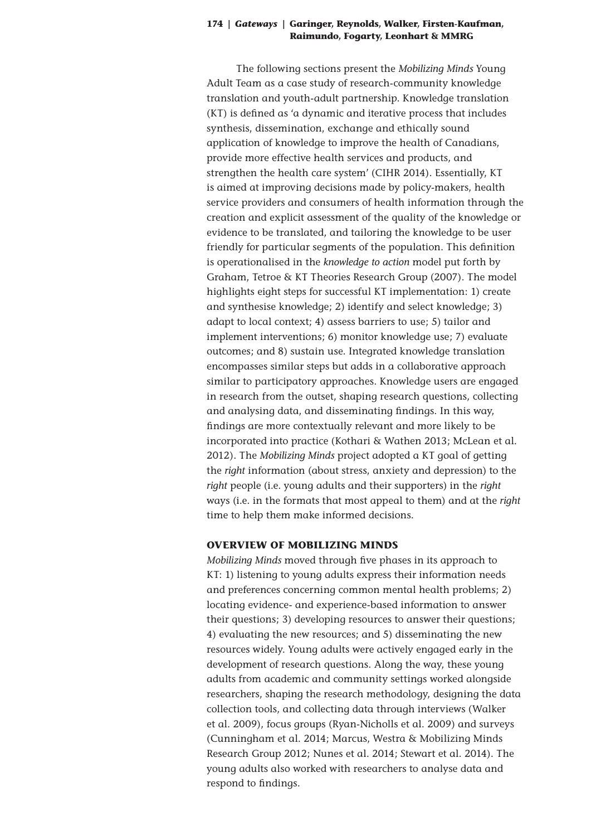The following sections present the *Mobilizing Minds* Young Adult Team as a case study of research-community knowledge translation and youth-adult partnership. Knowledge translation (KT) is defined as 'a dynamic and iterative process that includes synthesis, dissemination, exchange and ethically sound application of knowledge to improve the health of Canadians, provide more effective health services and products, and strengthen the health care system' (CIHR 2014). Essentially, KT is aimed at improving decisions made by policy-makers, health service providers and consumers of health information through the creation and explicit assessment of the quality of the knowledge or evidence to be translated, and tailoring the knowledge to be user friendly for particular segments of the population. This definition is operationalised in the *knowledge to action* model put forth by Graham, Tetroe & KT Theories Research Group (2007). The model highlights eight steps for successful KT implementation: 1) create and synthesise knowledge; 2) identify and select knowledge; 3) adapt to local context; 4) assess barriers to use; 5) tailor and implement interventions; 6) monitor knowledge use; 7) evaluate outcomes; and 8) sustain use. Integrated knowledge translation encompasses similar steps but adds in a collaborative approach similar to participatory approaches. Knowledge users are engaged in research from the outset, shaping research questions, collecting and analysing data, and disseminating findings. In this way, findings are more contextually relevant and more likely to be incorporated into practice (Kothari & Wathen 2013; McLean et al. 2012). The *Mobilizing Minds* project adopted a KT goal of getting the *right* information (about stress, anxiety and depression) to the *right* people (i.e. young adults and their supporters) in the *right* ways (i.e. in the formats that most appeal to them) and at the *right* time to help them make informed decisions.

## **OVERVIEW OF MOBILIZING MINDS**

*Mobilizing Minds* moved through five phases in its approach to KT: 1) listening to young adults express their information needs and preferences concerning common mental health problems; 2) locating evidence- and experience-based information to answer their questions; 3) developing resources to answer their questions; 4) evaluating the new resources; and 5) disseminating the new resources widely. Young adults were actively engaged early in the development of research questions. Along the way, these young adults from academic and community settings worked alongside researchers, shaping the research methodology, designing the data collection tools, and collecting data through interviews (Walker et al. 2009), focus groups (Ryan-Nicholls et al. 2009) and surveys (Cunningham et al. 2014; Marcus, Westra & Mobilizing Minds Research Group 2012; Nunes et al. 2014; Stewart et al. 2014). The young adults also worked with researchers to analyse data and respond to findings.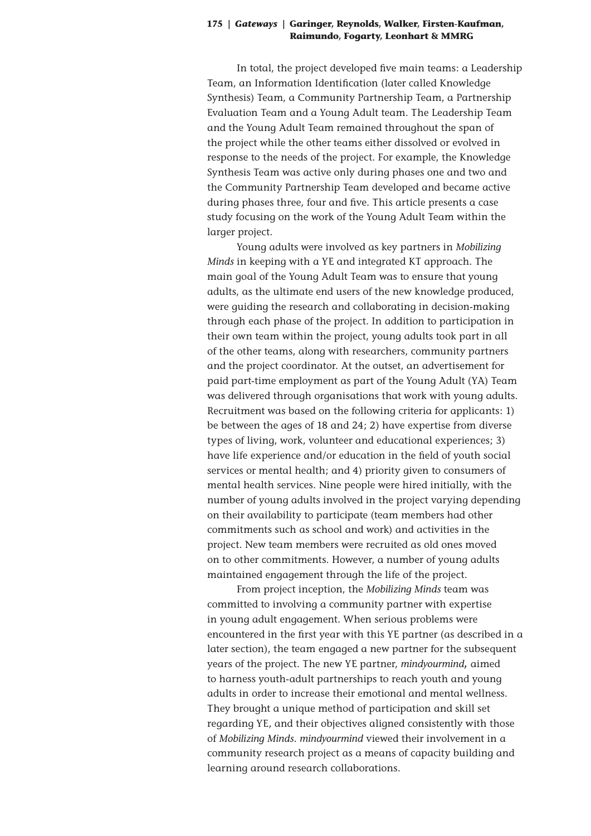In total, the project developed five main teams: a Leadership Team, an Information Identification (later called Knowledge Synthesis) Team, a Community Partnership Team, a Partnership Evaluation Team and a Young Adult team. The Leadership Team and the Young Adult Team remained throughout the span of the project while the other teams either dissolved or evolved in response to the needs of the project. For example, the Knowledge Synthesis Team was active only during phases one and two and the Community Partnership Team developed and became active during phases three, four and five. This article presents a case study focusing on the work of the Young Adult Team within the larger project.

Young adults were involved as key partners in *Mobilizing Minds* in keeping with a YE and integrated KT approach. The main goal of the Young Adult Team was to ensure that young adults, as the ultimate end users of the new knowledge produced, were guiding the research and collaborating in decision-making through each phase of the project. In addition to participation in their own team within the project, young adults took part in all of the other teams, along with researchers, community partners and the project coordinator. At the outset, an advertisement for paid part-time employment as part of the Young Adult (YA) Team was delivered through organisations that work with young adults. Recruitment was based on the following criteria for applicants: 1) be between the ages of 18 and 24; 2) have expertise from diverse types of living, work, volunteer and educational experiences; 3) have life experience and/or education in the field of youth social services or mental health; and 4) priority given to consumers of mental health services. Nine people were hired initially, with the number of young adults involved in the project varying depending on their availability to participate (team members had other commitments such as school and work) and activities in the project. New team members were recruited as old ones moved on to other commitments. However, a number of young adults maintained engagement through the life of the project.

From project inception, the *Mobilizing Minds* team was committed to involving a community partner with expertise in young adult engagement. When serious problems were encountered in the first year with this YE partner (as described in a later section), the team engaged a new partner for the subsequent years of the project. The new YE partner, *mindyourmind***,** aimed to harness youth-adult partnerships to reach youth and young adults in order to increase their emotional and mental wellness. They brought a unique method of participation and skill set regarding YE, and their objectives aligned consistently with those of *Mobilizing Minds. mindyourmind* viewed their involvement in a community research project as a means of capacity building and learning around research collaborations.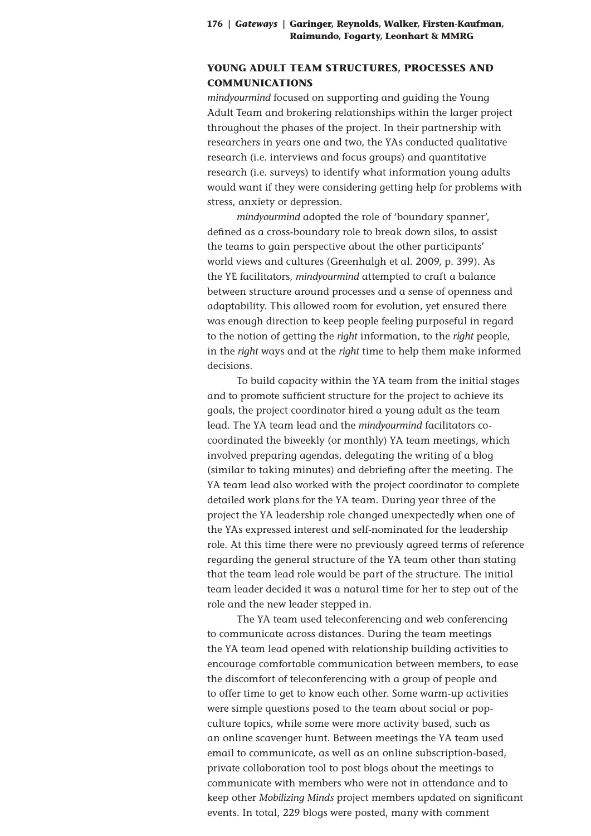## **YOUNG ADULT TEAM STRUCTURES, PROCESSES AND COMMUNICATIONS**

*mindyourmind* focused on supporting and guiding the Young Adult Team and brokering relationships within the larger project throughout the phases of the project. In their partnership with researchers in years one and two, the YAs conducted qualitative research (i.e. interviews and focus groups) and quantitative research (i.e. surveys) to identify what information young adults would want if they were considering getting help for problems with stress, anxiety or depression.

*mindyourmind* adopted the role of 'boundary spanner', defined as a cross-boundary role to break down silos, to assist the teams to gain perspective about the other participants' world views and cultures (Greenhalgh et al. 2009, p. 399). As the YE facilitators, *mindyourmind* attempted to craft a balance between structure around processes and a sense of openness and adaptability. This allowed room for evolution, yet ensured there was enough direction to keep people feeling purposeful in regard to the notion of getting the *right* information, to the *right* people, in the *right* ways and at the *right* time to help them make informed decisions.

To build capacity within the YA team from the initial stages and to promote sufficient structure for the project to achieve its goals, the project coordinator hired a young adult as the team lead. The YA team lead and the *mindyourmind* facilitators cocoordinated the biweekly (or monthly) YA team meetings, which involved preparing agendas, delegating the writing of a blog (similar to taking minutes) and debriefing after the meeting. The YA team lead also worked with the project coordinator to complete detailed work plans for the YA team. During year three of the project the YA leadership role changed unexpectedly when one of the YAs expressed interest and self-nominated for the leadership role. At this time there were no previously agreed terms of reference regarding the general structure of the YA team other than stating that the team lead role would be part of the structure. The initial team leader decided it was a natural time for her to step out of the role and the new leader stepped in.

The YA team used teleconferencing and web conferencing to communicate across distances. During the team meetings the YA team lead opened with relationship building activities to encourage comfortable communication between members, to ease the discomfort of teleconferencing with a group of people and to offer time to get to know each other. Some warm-up activities were simple questions posed to the team about social or popculture topics, while some were more activity based, such as an online scavenger hunt. Between meetings the YA team used email to communicate, as well as an online subscription-based, private collaboration tool to post blogs about the meetings to communicate with members who were not in attendance and to keep other *Mobilizing Minds* project members updated on significant events. In total, 229 blogs were posted, many with comment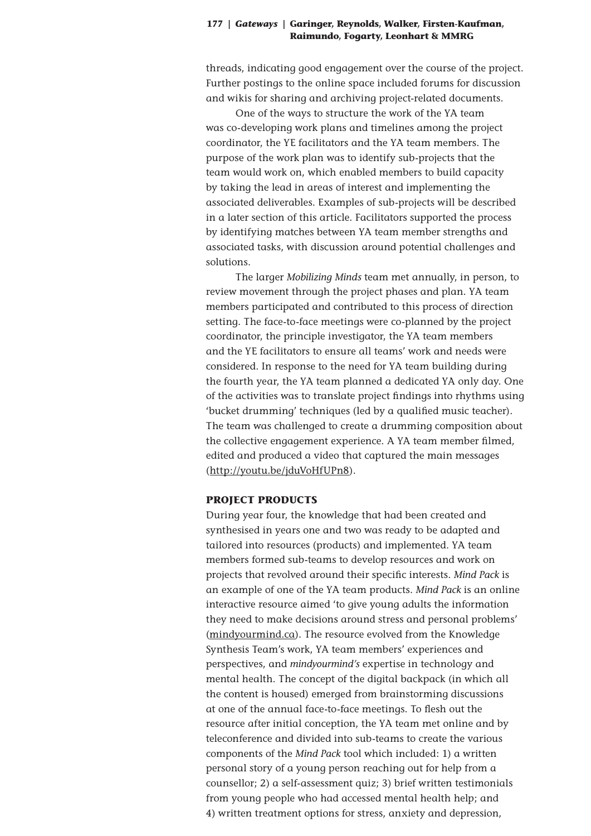threads, indicating good engagement over the course of the project. Further postings to the online space included forums for discussion and wikis for sharing and archiving project-related documents.

One of the ways to structure the work of the YA team was co-developing work plans and timelines among the project coordinator, the YE facilitators and the YA team members. The purpose of the work plan was to identify sub-projects that the team would work on, which enabled members to build capacity by taking the lead in areas of interest and implementing the associated deliverables. Examples of sub-projects will be described in a later section of this article. Facilitators supported the process by identifying matches between YA team member strengths and associated tasks, with discussion around potential challenges and solutions.

The larger *Mobilizing Minds* team met annually, in person, to review movement through the project phases and plan. YA team members participated and contributed to this process of direction setting. The face-to-face meetings were co-planned by the project coordinator, the principle investigator, the YA team members and the YE facilitators to ensure all teams' work and needs were considered. In response to the need for YA team building during the fourth year, the YA team planned a dedicated YA only day. One of the activities was to translate project findings into rhythms using 'bucket drumming' techniques (led by a qualified music teacher). The team was challenged to create a drumming composition about the collective engagement experience. A YA team member filmed, edited and produced a video that captured the main messages (http://youtu.be/jduVoHfUPn8).

## **PROJECT PRODUCTS**

During year four, the knowledge that had been created and synthesised in years one and two was ready to be adapted and tailored into resources (products) and implemented. YA team members formed sub-teams to develop resources and work on projects that revolved around their specific interests. *Mind Pack* is an example of one of the YA team products. *Mind Pack* is an online interactive resource aimed 'to give young adults the information they need to make decisions around stress and personal problems' (mindyourmind.ca). The resource evolved from the Knowledge Synthesis Team's work, YA team members' experiences and perspectives, and *mindyourmind's* expertise in technology and mental health. The concept of the digital backpack (in which all the content is housed) emerged from brainstorming discussions at one of the annual face-to-face meetings. To flesh out the resource after initial conception, the YA team met online and by teleconference and divided into sub-teams to create the various components of the *Mind Pack* tool which included: 1) a written personal story of a young person reaching out for help from a counsellor; 2) a self-assessment quiz; 3) brief written testimonials from young people who had accessed mental health help; and 4) written treatment options for stress, anxiety and depression,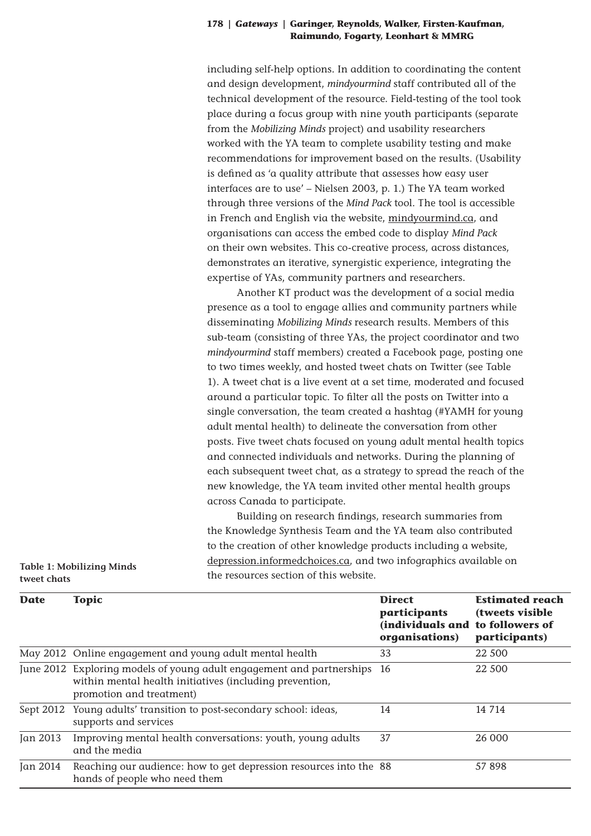including self-help options. In addition to coordinating the content and design development, *mindyourmind* staff contributed all of the technical development of the resource. Field-testing of the tool took place during a focus group with nine youth participants (separate from the *Mobilizing Minds* project) and usability researchers worked with the YA team to complete usability testing and make recommendations for improvement based on the results. (Usability is defined as 'a quality attribute that assesses how easy user interfaces are to use' – Nielsen 2003, p. 1.) The YA team worked through three versions of the *Mind Pack* tool. The tool is accessible in French and English via the website, mindyourmind.ca, and organisations can access the embed code to display *Mind Pack* on their own websites. This co-creative process, across distances, demonstrates an iterative, synergistic experience, integrating the expertise of YAs, community partners and researchers.

Another KT product was the development of a social media presence as a tool to engage allies and community partners while disseminating *Mobilizing Minds* research results. Members of this sub-team (consisting of three YAs, the project coordinator and two *mindyourmind* staff members) created a Facebook page, posting one to two times weekly, and hosted tweet chats on Twitter (see Table 1). A tweet chat is a live event at a set time, moderated and focused around a particular topic. To filter all the posts on Twitter into a single conversation, the team created a hashtag (#YAMH for young adult mental health) to delineate the conversation from other posts. Five tweet chats focused on young adult mental health topics and connected individuals and networks. During the planning of each subsequent tweet chat, as a strategy to spread the reach of the new knowledge, the YA team invited other mental health groups across Canada to participate.

Building on research findings, research summaries from the Knowledge Synthesis Team and the YA team also contributed to the creation of other knowledge products including a website, depression.informedchoices.ca, and two infographics available on the resources section of this website.

| <b>Date</b> | <b>Topic</b>                                                                                                                                                 | <b>Direct</b><br><i>participants</i><br>(individuals and to followers of<br>organisations) | <b>Estimated reach</b><br>(tweets visible)<br>participants) |
|-------------|--------------------------------------------------------------------------------------------------------------------------------------------------------------|--------------------------------------------------------------------------------------------|-------------------------------------------------------------|
|             | May 2012 Online engagement and young adult mental health                                                                                                     | 33                                                                                         | 22 500                                                      |
|             | June 2012 Exploring models of young adult engagement and partnerships<br>within mental health initiatives (including prevention,<br>promotion and treatment) | -16                                                                                        | 22 500                                                      |
|             | Sept 2012 Young adults' transition to post-secondary school: ideas,<br>supports and services                                                                 | 14                                                                                         | 14 7 14                                                     |
| Jan 2013    | Improving mental health conversations: youth, young adults<br>and the media                                                                                  | 37                                                                                         | 26 000                                                      |
| Jan 2014    | Reaching our audience: how to get depression resources into the 88<br>hands of people who need them                                                          |                                                                                            | 57 898                                                      |

**Table 1: Mobilizing Minds tweet chats**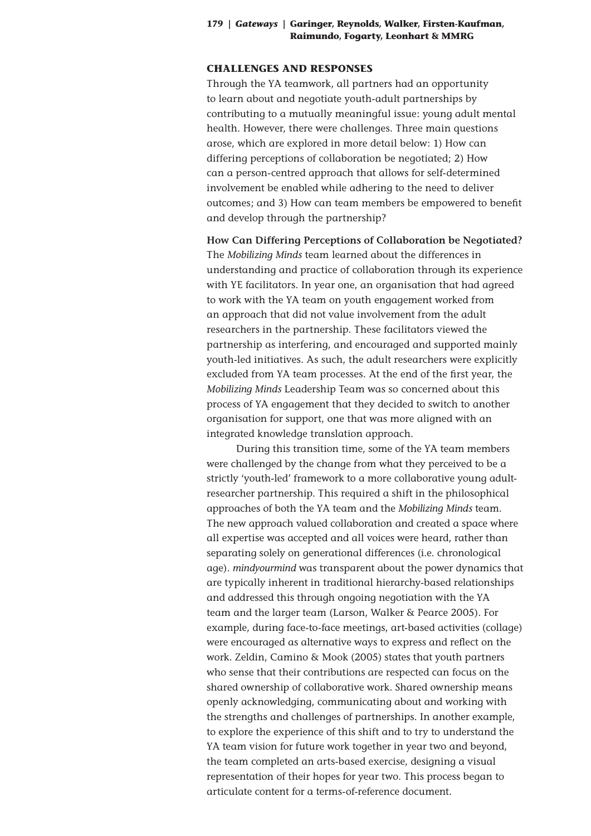## **CHALLENGES AND RESPONSES**

Through the YA teamwork, all partners had an opportunity to learn about and negotiate youth-adult partnerships by contributing to a mutually meaningful issue: young adult mental health. However, there were challenges. Three main questions arose, which are explored in more detail below: 1) How can differing perceptions of collaboration be negotiated; 2) How can a person-centred approach that allows for self-determined involvement be enabled while adhering to the need to deliver outcomes; and 3) How can team members be empowered to benefit and develop through the partnership?

**How Can Differing Perceptions of Collaboration be Negotiated?** The *Mobilizing Minds* team learned about the differences in understanding and practice of collaboration through its experience with YE facilitators. In year one, an organisation that had agreed to work with the YA team on youth engagement worked from an approach that did not value involvement from the adult researchers in the partnership. These facilitators viewed the partnership as interfering, and encouraged and supported mainly youth-led initiatives. As such, the adult researchers were explicitly excluded from YA team processes. At the end of the first year, the *Mobilizing Minds* Leadership Team was so concerned about this process of YA engagement that they decided to switch to another organisation for support, one that was more aligned with an integrated knowledge translation approach.

During this transition time, some of the YA team members were challenged by the change from what they perceived to be a strictly 'youth-led' framework to a more collaborative young adultresearcher partnership. This required a shift in the philosophical approaches of both the YA team and the *Mobilizing Minds* team. The new approach valued collaboration and created a space where all expertise was accepted and all voices were heard, rather than separating solely on generational differences (i.e. chronological age). *mindyourmind* was transparent about the power dynamics that are typically inherent in traditional hierarchy-based relationships and addressed this through ongoing negotiation with the YA team and the larger team (Larson, Walker & Pearce 2005). For example, during face-to-face meetings, art-based activities (collage) were encouraged as alternative ways to express and reflect on the work. Zeldin, Camino & Mook (2005) states that youth partners who sense that their contributions are respected can focus on the shared ownership of collaborative work. Shared ownership means openly acknowledging, communicating about and working with the strengths and challenges of partnerships. In another example, to explore the experience of this shift and to try to understand the YA team vision for future work together in year two and beyond, the team completed an arts-based exercise, designing a visual representation of their hopes for year two. This process began to articulate content for a terms-of-reference document.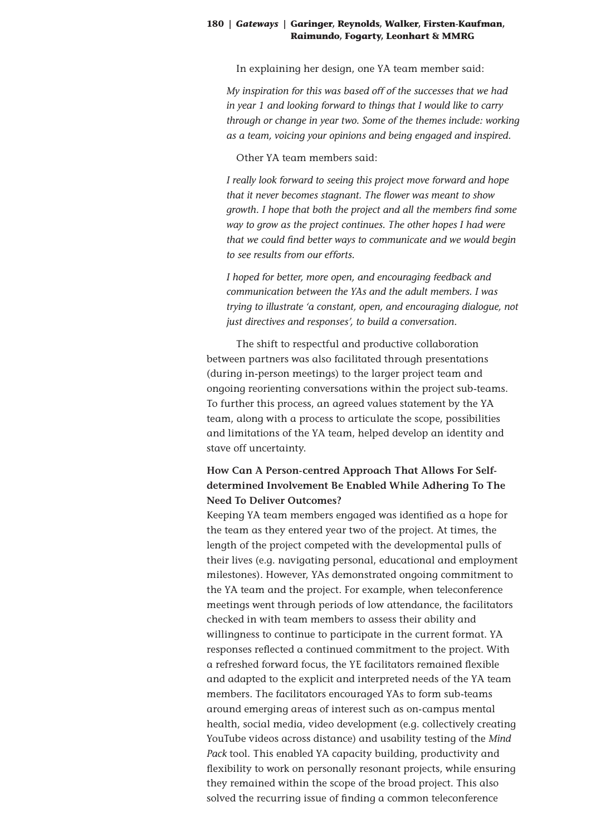In explaining her design, one YA team member said:

*My inspiration for this was based off of the successes that we had in year 1 and looking forward to things that I would like to carry through or change in year two. Some of the themes include: working as a team, voicing your opinions and being engaged and inspired.* 

Other YA team members said:

*I really look forward to seeing this project move forward and hope that it never becomes stagnant. The flower was meant to show growth. I hope that both the project and all the members find some way to grow as the project continues. The other hopes I had were that we could find better ways to communicate and we would begin to see results from our efforts.*

*I hoped for better, more open, and encouraging feedback and communication between the YAs and the adult members. I was trying to illustrate 'a constant, open, and encouraging dialogue, not just directives and responses', to build a conversation.*

The shift to respectful and productive collaboration between partners was also facilitated through presentations (during in-person meetings) to the larger project team and ongoing reorienting conversations within the project sub-teams. To further this process, an agreed values statement by the YA team, along with a process to articulate the scope, possibilities and limitations of the YA team, helped develop an identity and stave off uncertainty.

# **How Can A Person-centred Approach That Allows For Selfdetermined Involvement Be Enabled While Adhering To The Need To Deliver Outcomes?**

Keeping YA team members engaged was identified as a hope for the team as they entered year two of the project. At times, the length of the project competed with the developmental pulls of their lives (e.g. navigating personal, educational and employment milestones). However, YAs demonstrated ongoing commitment to the YA team and the project. For example, when teleconference meetings went through periods of low attendance, the facilitators checked in with team members to assess their ability and willingness to continue to participate in the current format. YA responses reflected a continued commitment to the project. With a refreshed forward focus, the YE facilitators remained flexible and adapted to the explicit and interpreted needs of the YA team members. The facilitators encouraged YAs to form sub-teams around emerging areas of interest such as on-campus mental health, social media, video development (e.g. collectively creating YouTube videos across distance) and usability testing of the *Mind Pack* tool. This enabled YA capacity building, productivity and flexibility to work on personally resonant projects, while ensuring they remained within the scope of the broad project. This also solved the recurring issue of finding a common teleconference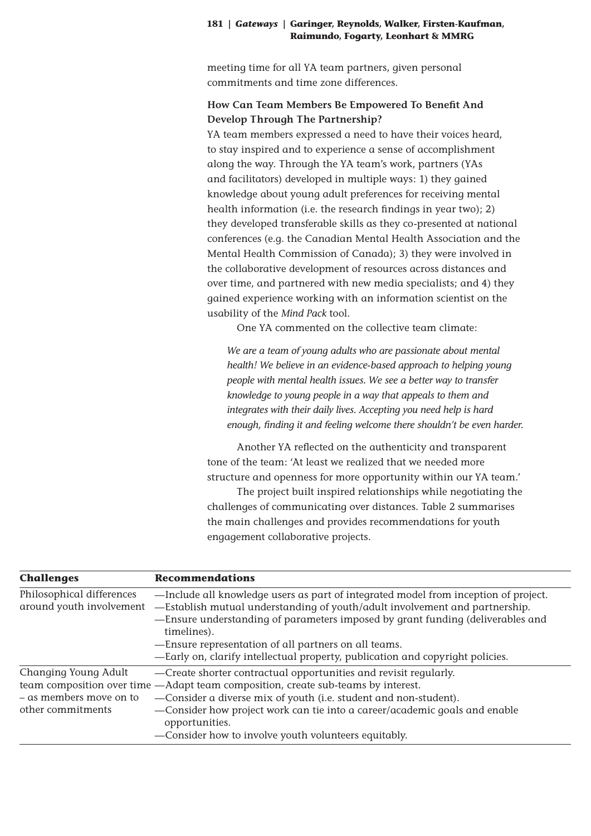meeting time for all YA team partners, given personal commitments and time zone differences.

# **How Can Team Members Be Empowered To Benefit And Develop Through The Partnership?**

YA team members expressed a need to have their voices heard, to stay inspired and to experience a sense of accomplishment along the way. Through the YA team's work, partners (YAs and facilitators) developed in multiple ways: 1) they gained knowledge about young adult preferences for receiving mental health information (i.e. the research findings in year two); 2) they developed transferable skills as they co-presented at national conferences (e.g. the Canadian Mental Health Association and the Mental Health Commission of Canada); 3) they were involved in the collaborative development of resources across distances and over time, and partnered with new media specialists; and 4) they gained experience working with an information scientist on the usability of the *Mind Pack* tool.

One YA commented on the collective team climate:

*We are a team of young adults who are passionate about mental health! We believe in an evidence-based approach to helping young people with mental health issues. We see a better way to transfer knowledge to young people in a way that appeals to them and integrates with their daily lives. Accepting you need help is hard enough, finding it and feeling welcome there shouldn't be even harder.*

Another YA reflected on the authenticity and transparent tone of the team: 'At least we realized that we needed more structure and openness for more opportunity within our YA team.'

The project built inspired relationships while negotiating the challenges of communicating over distances. Table 2 summarises the main challenges and provides recommendations for youth engagement collaborative projects.

| <b>Challenges</b>                                                    | <b>Recommendations</b>                                                                                                                                                                                                                                                                                                                                                                                       |
|----------------------------------------------------------------------|--------------------------------------------------------------------------------------------------------------------------------------------------------------------------------------------------------------------------------------------------------------------------------------------------------------------------------------------------------------------------------------------------------------|
| Philosophical differences<br>around youth involvement                | -Include all knowledge users as part of integrated model from inception of project.<br>-Establish mutual understanding of youth/adult involvement and partnership.<br>-Ensure understanding of parameters imposed by grant funding (deliverables and<br>timelines).<br>-Ensure representation of all partners on all teams.<br>-Early on, clarify intellectual property, publication and copyright policies. |
| Changing Young Adult<br>- as members move on to<br>other commitments | -Create shorter contractual opportunities and revisit regularly.<br>team composition over time -Adapt team composition, create sub-teams by interest.<br>-Consider a diverse mix of youth (i.e. student and non-student).<br>-Consider how project work can tie into a career/academic goals and enable<br>opportunities.<br>-Consider how to involve youth volunteers equitably.                            |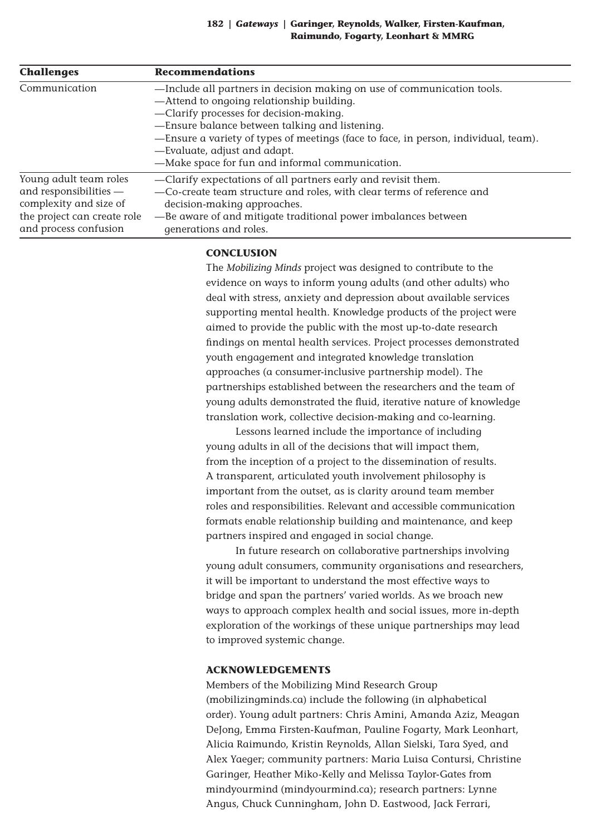| <b>Challenges</b>           | <b>Recommendations</b>                                                              |
|-----------------------------|-------------------------------------------------------------------------------------|
| Communication               | -Include all partners in decision making on use of communication tools.             |
|                             | -Attend to ongoing relationship building.                                           |
|                             | -Clarify processes for decision-making.                                             |
|                             | -Ensure balance between talking and listening.                                      |
|                             | -Ensure a variety of types of meetings (face to face, in person, individual, team). |
|                             | -Evaluate, adjust and adapt.                                                        |
|                             | -Make space for fun and informal communication.                                     |
| Young adult team roles      | -Clarify expectations of all partners early and revisit them.                       |
| and responsibilities -      | -Co-create team structure and roles, with clear terms of reference and              |
| complexity and size of      | decision-making approaches.                                                         |
| the project can create role | -Be aware of and mitigate traditional power imbalances between                      |
| and process confusion       | generations and roles.                                                              |

## **CONCLUSION**

The *Mobilizing Minds* project was designed to contribute to the evidence on ways to inform young adults (and other adults) who deal with stress, anxiety and depression about available services supporting mental health. Knowledge products of the project were aimed to provide the public with the most up-to-date research findings on mental health services. Project processes demonstrated youth engagement and integrated knowledge translation approaches (a consumer-inclusive partnership model). The partnerships established between the researchers and the team of young adults demonstrated the fluid, iterative nature of knowledge translation work, collective decision-making and co-learning.

Lessons learned include the importance of including young adults in all of the decisions that will impact them, from the inception of a project to the dissemination of results. A transparent, articulated youth involvement philosophy is important from the outset, as is clarity around team member roles and responsibilities. Relevant and accessible communication formats enable relationship building and maintenance, and keep partners inspired and engaged in social change.

In future research on collaborative partnerships involving young adult consumers, community organisations and researchers, it will be important to understand the most effective ways to bridge and span the partners' varied worlds. As we broach new ways to approach complex health and social issues, more in-depth exploration of the workings of these unique partnerships may lead to improved systemic change.

## **ACKNOWLEDGEMENTS**

Members of the Mobilizing Mind Research Group (mobilizingminds.ca) include the following (in alphabetical order). Young adult partners: Chris Amini, Amanda Aziz, Meagan DeJong, Emma Firsten-Kaufman, Pauline Fogarty, Mark Leonhart, Alicia Raimundo, Kristin Reynolds, Allan Sielski, Tara Syed, and Alex Yaeger; community partners: Maria Luisa Contursi, Christine Garinger, Heather Miko-Kelly and Melissa Taylor-Gates from mindyourmind (mindyourmind.ca); research partners: Lynne Angus, Chuck Cunningham, John D. Eastwood, Jack Ferrari,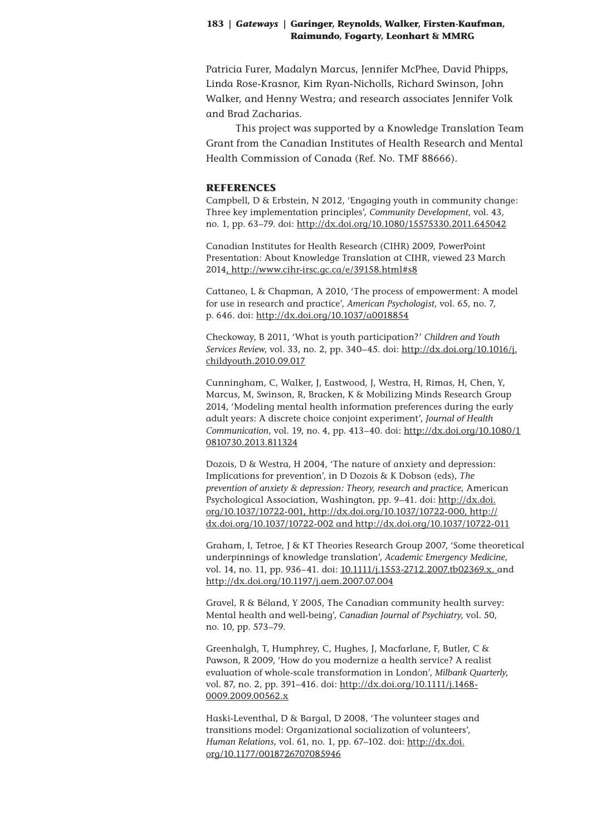Patricia Furer, Madalyn Marcus, Jennifer McPhee, David Phipps, Linda Rose-Krasnor, Kim Ryan-Nicholls, Richard Swinson, John Walker, and Henny Westra; and research associates Jennifer Volk and Brad Zacharias.

This project was supported by a Knowledge Translation Team Grant from the Canadian Institutes of Health Research and Mental Health Commission of Canada (Ref. No. TMF 88666).

#### **REFERENCES**

Campbell, D & Erbstein, N 2012, 'Engaging youth in community change: Three key implementation principles', *Community Development*, vol. 43, no. 1, pp. 63–79. doi: http://dx.doi.org/10.1080/15575330.2011.645042

Canadian Institutes for Health Research (CIHR) 2009, PowerPoint Presentation: About Knowledge Translation at CIHR, viewed 23 March 2014, http://www.cihr-irsc.gc.ca/e/39158.html#s8

Cattaneo, L & Chapman, A 2010, 'The process of empowerment: A model for use in research and practice', *American Psychologist*, vol. 65, no. 7, p. 646. doi: http://dx.doi.org/10.1037/a0018854

Checkoway, B 2011, 'What is youth participation?' *Children and Youth Services Review*, vol. 33, no. 2, pp. 340–45. doi: http://dx.doi.org/10.1016/j. childyouth.2010.09.017

Cunningham, C, Walker, J, Eastwood, J, Westra, H, Rimas, H, Chen, Y, Marcus, M, Swinson, R, Bracken, K & Mobilizing Minds Research Group 2014, 'Modeling mental health information preferences during the early adult years: A discrete choice conjoint experiment', *Journal of Health Communication*, vol. 19, no. 4, pp. 413–40. doi: http://dx.doi.org/10.1080/1 0810730.2013.811324

Dozois, D & Westra, H 2004, 'The nature of anxiety and depression: Implications for prevention', in D Dozois & K Dobson (eds), *The prevention of anxiety & depression: Theory, research and practice*, American Psychological Association, Washington, pp. 9–41. doi: http://dx.doi. org/10.1037/10722-001, http://dx.doi.org/10.1037/10722-000, http:// dx.doi.org/10.1037/10722-002 and http://dx.doi.org/10.1037/10722-011

Graham, I, Tetroe, J & KT Theories Research Group 2007, 'Some theoretical underpinnings of knowledge translation', *Academic Emergency Medicine*, vol. 14, no. 11, pp. 936-41. doi: 10.1111/j.1553-2712.2007.tb02369.x. and http://dx.doi.org/10.1197/j.aem.2007.07.004

Gravel, R & Béland, Y 2005, The Canadian community health survey: Mental health and well-being', *Canadian Journal of Psychiatry*, vol. 50, no. 10, pp. 573–79.

Greenhalgh, T, Humphrey, C, Hughes, J, Macfarlane, F, Butler, C & Pawson, R 2009, 'How do you modernize a health service? A realist evaluation of whole-scale transformation in London', *Milbank Quarterly*, vol. 87, no. 2, pp. 391–416. doi: http://dx.doi.org/10.1111/j.1468- 0009.2009.00562.x

Haski-Leventhal, D & Bargal, D 2008, 'The volunteer stages and transitions model: Organizational socialization of volunteers', *Human Relations*, vol. 61, no. 1, pp. 67–102. doi: http://dx.doi. org/10.1177/0018726707085946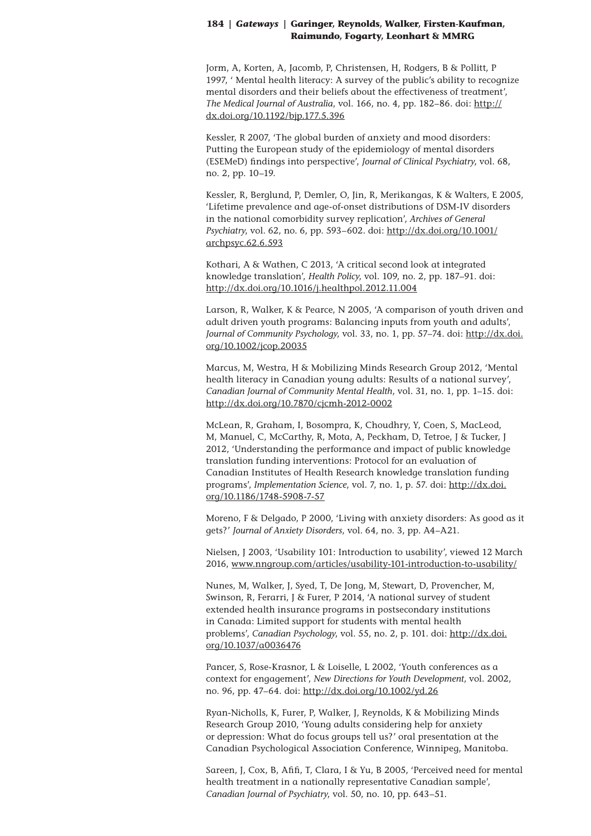Jorm, A, Korten, A, Jacomb, P, Christensen, H, Rodgers, B & Pollitt, P 1997, ' Mental health literacy: A survey of the public's ability to recognize mental disorders and their beliefs about the effectiveness of treatment', *The Medical Journal of Australia*, vol. 166, no. 4, pp. 182–86. doi: http:// dx.doi.org/10.1192/bjp.177.5.396

Kessler, R 2007, 'The global burden of anxiety and mood disorders: Putting the European study of the epidemiology of mental disorders (ESEMeD) findings into perspective', *Journal of Clinical Psychiatry*, vol. 68, no. 2, pp. 10–19.

Kessler, R, Berglund, P, Demler, O, Jin, R, Merikangas, K & Walters, E 2005, 'Lifetime prevalence and age-of-onset distributions of DSM-IV disorders in the national comorbidity survey replication', *Archives of General Psychiatry*, vol. 62, no. 6, pp. 593–602. doi: http://dx.doi.org/10.1001/ archpsyc.62.6.593

Kothari, A & Wathen, C 2013, 'A critical second look at integrated knowledge translation', *Health Policy*, vol. 109, no. 2, pp. 187–91. doi: http://dx.doi.org/10.1016/j.healthpol.2012.11.004

Larson, R, Walker, K & Pearce, N 2005, 'A comparison of youth driven and adult driven youth programs: Balancing inputs from youth and adults', *Journal of Community Psychology*, vol. 33, no. 1, pp. 57–74. doi: http://dx.doi. org/10.1002/jcop.20035

Marcus, M, Westra, H & Mobilizing Minds Research Group 2012, 'Mental health literacy in Canadian young adults: Results of a national survey', *Canadian Journal of Community Mental Health*, vol. 31, no. 1, pp. 1–15. doi: http://dx.doi.org/10.7870/cjcmh-2012-0002

McLean, R, Graham, I, Bosompra, K, Choudhry, Y, Coen, S, MacLeod, M, Manuel, C, McCarthy, R, Mota, A, Peckham, D, Tetroe, J & Tucker, J 2012, 'Understanding the performance and impact of public knowledge translation funding interventions: Protocol for an evaluation of Canadian Institutes of Health Research knowledge translation funding programs', *Implementation Science*, vol. 7, no. 1, p. 57. doi: http://dx.doi. org/10.1186/1748-5908-7-57

Moreno, F & Delgado, P 2000, 'Living with anxiety disorders: As good as it gets?' *Journal of Anxiety Disorders*, vol. 64, no. 3, pp. A4–A21.

Nielsen, J 2003, 'Usability 101: Introduction to usability', viewed 12 March 2016, www.nngroup.com/articles/usability-101-introduction-to-usability/

Nunes, M, Walker, J, Syed, T, De Jong, M, Stewart, D, Provencher, M, Swinson, R, Ferarri, J & Furer, P 2014, 'A national survey of student extended health insurance programs in postsecondary institutions in Canada: Limited support for students with mental health problems', *Canadian Psychology*, vol. 55, no. 2, p. 101. doi: http://dx.doi. org/10.1037/a0036476

Pancer, S, Rose-Krasnor, L & Loiselle, L 2002, 'Youth conferences as a context for engagement', *New Directions for Youth Development*, vol. 2002, no. 96, pp. 47–64. doi: http://dx.doi.org/10.1002/yd.26

Ryan-Nicholls, K, Furer, P, Walker, J, Reynolds, K & Mobilizing Minds Research Group 2010, 'Young adults considering help for anxiety or depression: What do focus groups tell us?' oral presentation at the Canadian Psychological Association Conference, Winnipeg, Manitoba.

Sareen, J, Cox, B, Afifi, T, Clara, I & Yu, B 2005, 'Perceived need for mental health treatment in a nationally representative Canadian sample', *Canadian Journal of Psychiatry*, vol. 50, no. 10, pp. 643–51.